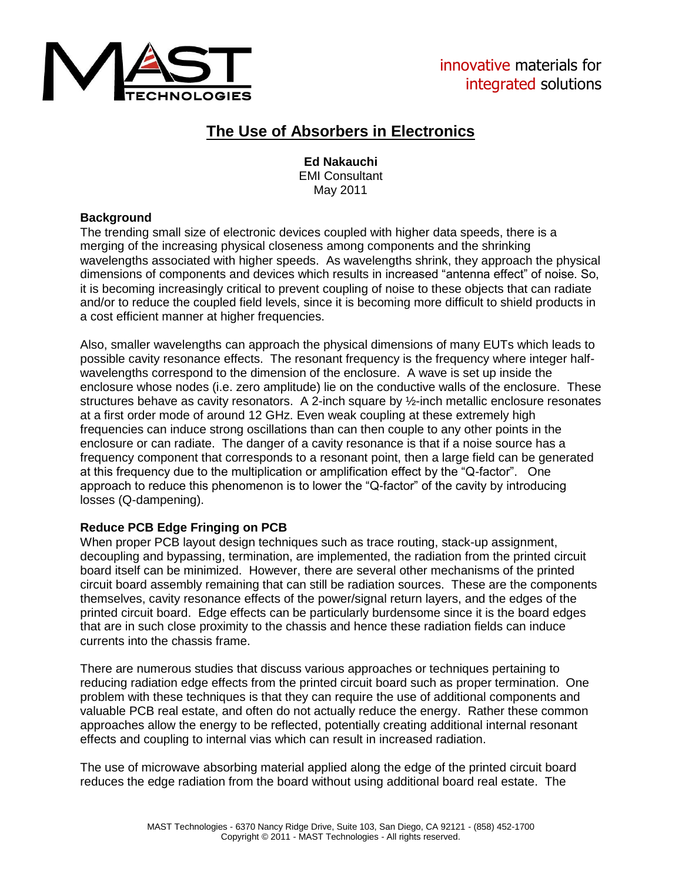

# **The Use of Absorbers in Electronics**

**Ed Nakauchi** EMI Consultant May 2011

### **Background**

The trending small size of electronic devices coupled with higher data speeds, there is a merging of the increasing physical closeness among components and the shrinking wavelengths associated with higher speeds. As wavelengths shrink, they approach the physical dimensions of components and devices which results in increased "antenna effect" of noise. So, it is becoming increasingly critical to prevent coupling of noise to these objects that can radiate and/or to reduce the coupled field levels, since it is becoming more difficult to shield products in a cost efficient manner at higher frequencies.

Also, smaller wavelengths can approach the physical dimensions of many EUTs which leads to possible cavity resonance effects. The resonant frequency is the frequency where integer halfwavelengths correspond to the dimension of the enclosure. A wave is set up inside the enclosure whose nodes (i.e. zero amplitude) lie on the conductive walls of the enclosure. These structures behave as cavity resonators. A 2-inch square by ½-inch metallic enclosure resonates at a first order mode of around 12 GHz. Even weak coupling at these extremely high frequencies can induce strong oscillations than can then couple to any other points in the enclosure or can radiate. The danger of a cavity resonance is that if a noise source has a frequency component that corresponds to a resonant point, then a large field can be generated at this frequency due to the multiplication or amplification effect by the "Q-factor". One approach to reduce this phenomenon is to lower the "Q-factor" of the cavity by introducing losses (Q-dampening).

## **Reduce PCB Edge Fringing on PCB**

When proper PCB layout design techniques such as trace routing, stack-up assignment, decoupling and bypassing, termination, are implemented, the radiation from the printed circuit board itself can be minimized. However, there are several other mechanisms of the printed circuit board assembly remaining that can still be radiation sources. These are the components themselves, cavity resonance effects of the power/signal return layers, and the edges of the printed circuit board. Edge effects can be particularly burdensome since it is the board edges that are in such close proximity to the chassis and hence these radiation fields can induce currents into the chassis frame.

There are numerous studies that discuss various approaches or techniques pertaining to reducing radiation edge effects from the printed circuit board such as proper termination. One problem with these techniques is that they can require the use of additional components and valuable PCB real estate, and often do not actually reduce the energy. Rather these common approaches allow the energy to be reflected, potentially creating additional internal resonant effects and coupling to internal vias which can result in increased radiation.

The use of microwave absorbing material applied along the edge of the printed circuit board reduces the edge radiation from the board without using additional board real estate. The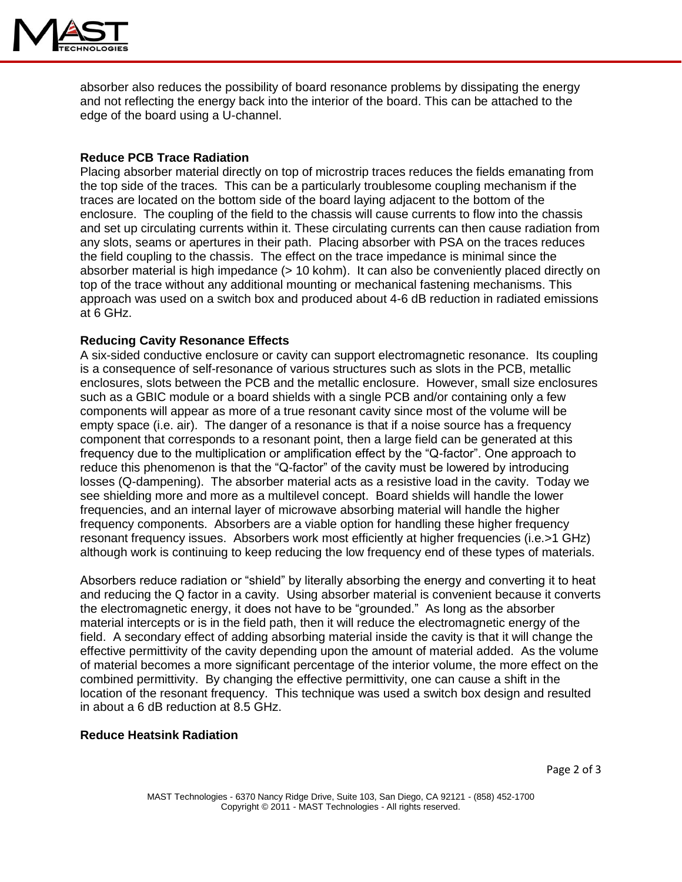

absorber also reduces the possibility of board resonance problems by dissipating the energy and not reflecting the energy back into the interior of the board. This can be attached to the edge of the board using a U-channel.

#### **Reduce PCB Trace Radiation**

Placing absorber material directly on top of microstrip traces reduces the fields emanating from the top side of the traces. This can be a particularly troublesome coupling mechanism if the traces are located on the bottom side of the board laying adjacent to the bottom of the enclosure. The coupling of the field to the chassis will cause currents to flow into the chassis and set up circulating currents within it. These circulating currents can then cause radiation from any slots, seams or apertures in their path. Placing absorber with PSA on the traces reduces the field coupling to the chassis. The effect on the trace impedance is minimal since the absorber material is high impedance (> 10 kohm). It can also be conveniently placed directly on top of the trace without any additional mounting or mechanical fastening mechanisms. This approach was used on a switch box and produced about 4-6 dB reduction in radiated emissions at 6 GHz.

#### **Reducing Cavity Resonance Effects**

A six-sided conductive enclosure or cavity can support electromagnetic resonance. Its coupling is a consequence of self-resonance of various structures such as slots in the PCB, metallic enclosures, slots between the PCB and the metallic enclosure. However, small size enclosures such as a GBIC module or a board shields with a single PCB and/or containing only a few components will appear as more of a true resonant cavity since most of the volume will be empty space (i.e. air). The danger of a resonance is that if a noise source has a frequency component that corresponds to a resonant point, then a large field can be generated at this frequency due to the multiplication or amplification effect by the "Q-factor". One approach to reduce this phenomenon is that the "Q-factor" of the cavity must be lowered by introducing losses (Q-dampening). The absorber material acts as a resistive load in the cavity. Today we see shielding more and more as a multilevel concept. Board shields will handle the lower frequencies, and an internal layer of microwave absorbing material will handle the higher frequency components. Absorbers are a viable option for handling these higher frequency resonant frequency issues. Absorbers work most efficiently at higher frequencies (i.e.>1 GHz) although work is continuing to keep reducing the low frequency end of these types of materials.

Absorbers reduce radiation or "shield" by literally absorbing the energy and converting it to heat and reducing the Q factor in a cavity. Using absorber material is convenient because it converts the electromagnetic energy, it does not have to be "grounded." As long as the absorber material intercepts or is in the field path, then it will reduce the electromagnetic energy of the field. A secondary effect of adding absorbing material inside the cavity is that it will change the effective permittivity of the cavity depending upon the amount of material added. As the volume of material becomes a more significant percentage of the interior volume, the more effect on the combined permittivity. By changing the effective permittivity, one can cause a shift in the location of the resonant frequency. This technique was used a switch box design and resulted in about a 6 dB reduction at 8.5 GHz.

#### **Reduce Heatsink Radiation**